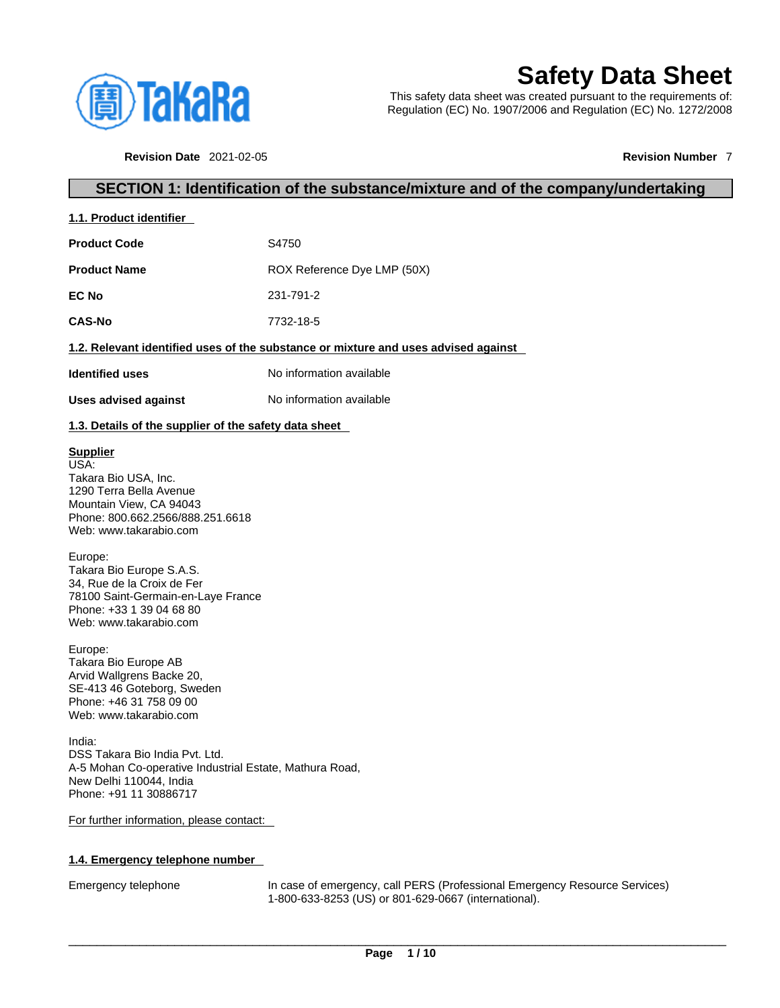

# **Safety Data Sheet**

This safety data sheet was created pursuant to the requirements of: Regulation (EC) No. 1907/2006 and Regulation (EC) No. 1272/2008

**Revision Date** 2021-02-05 **Revision Number** 7

## **SECTION 1: Identification of the substance/mixture and of the company/undertaking**

| 1.1. Product identifier |
|-------------------------|
|-------------------------|

| <b>Product Code</b> | S <sub>4750</sub>           |
|---------------------|-----------------------------|
| Product Name        | ROX Reference Dye LMP (50X) |

**EC No** 231-791-2 **CAS-No** 7732-18-5

## **1.2. Relevant identified uses of the substance or mixture and uses advised against**

**Identified uses** No information available

**Uses advised against** No information available

## **1.3. Details of the supplier of the safety data sheet**

## **Supplier**

USA: Takara Bio USA, Inc. 1290 Terra Bella Avenue Mountain View, CA 94043 Phone: 800.662.2566/888.251.6618 Web: www.takarabio.com

## Europe:

Takara Bio Europe S.A.S. 34, Rue de la Croix de Fer 78100 Saint-Germain-en-Laye France Phone: +33 1 39 04 68 80 Web: www.takarabio.com

## Europe:

Takara Bio Europe AB Arvid Wallgrens Backe 20, SE-413 46 Goteborg, Sweden Phone: +46 31 758 09 00 Web: www.takarabio.com

India: DSS Takara Bio India Pvt. Ltd. A-5 Mohan Co-operative Industrial Estate, Mathura Road, New Delhi 110044, India Phone: +91 11 30886717

## For further information, please contact:

## **1.4. Emergency telephone number**

Emergency telephone In case of emergency, call PERS (Professional Emergency Resource Services) 1-800-633-8253 (US) or 801-629-0667 (international).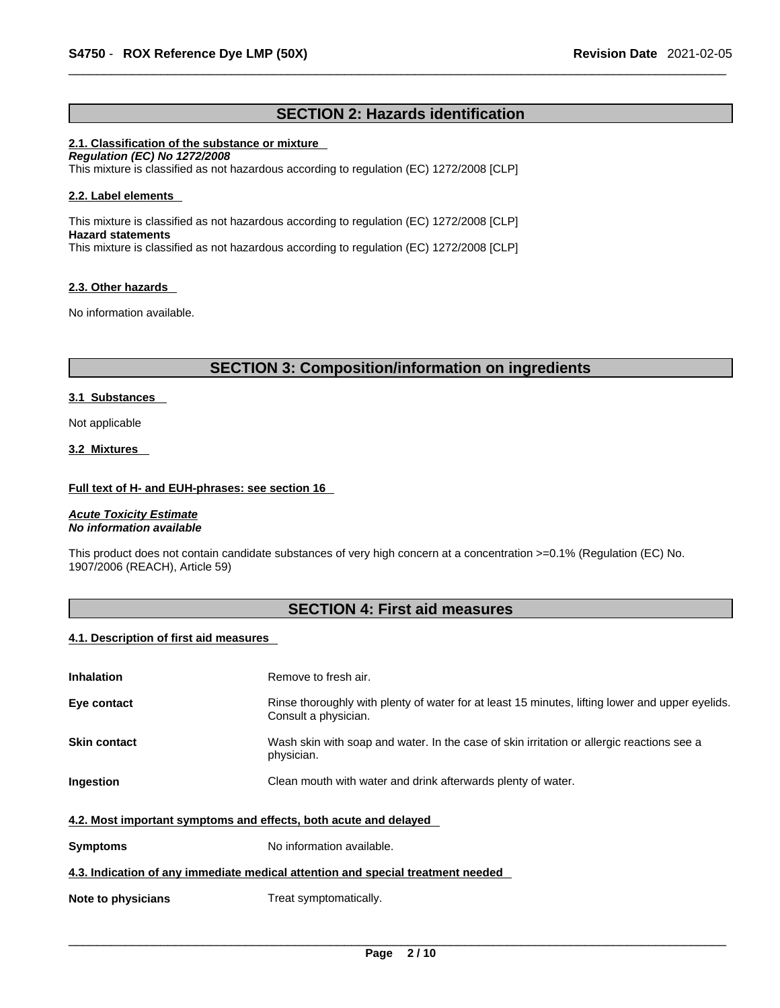## **SECTION 2: Hazards identification**

## **2.1. Classification of the substance or mixture**

*Regulation (EC) No 1272/2008*  This mixture is classified as not hazardous according to regulation (EC) 1272/2008 [CLP]

## **2.2. Label elements**

This mixture is classified as not hazardous according to regulation (EC) 1272/2008 [CLP] **Hazard statements** This mixture is classified as not hazardous according to regulation (EC) 1272/2008 [CLP]

## **2.3. Other hazards**

No information available.

## **SECTION 3: Composition/information on ingredients**

## **3.1 Substances**

Not applicable

#### **3.2 Mixtures**

#### **Full text of H- and EUH-phrases: see section 16**

*Acute Toxicity Estimate No information available* 

This product does not contain candidate substances of very high concern at a concentration >=0.1% (Regulation (EC) No. 1907/2006 (REACH), Article 59)

## **SECTION 4: First aid measures**

## **4.1. Description of first aid measures**

| <b>Inhalation</b>                                                               | Remove to fresh air.                                                                                                    |  |
|---------------------------------------------------------------------------------|-------------------------------------------------------------------------------------------------------------------------|--|
| Eye contact                                                                     | Rinse thoroughly with plenty of water for at least 15 minutes, lifting lower and upper eyelids.<br>Consult a physician. |  |
| <b>Skin contact</b>                                                             | Wash skin with soap and water. In the case of skin irritation or allergic reactions see a<br>physician.                 |  |
| Ingestion                                                                       | Clean mouth with water and drink afterwards plenty of water.                                                            |  |
| 4.2. Most important symptoms and effects, both acute and delayed                |                                                                                                                         |  |
| <b>Symptoms</b>                                                                 | No information available.                                                                                               |  |
| 4.3. Indication of any immediate medical attention and special treatment needed |                                                                                                                         |  |
| Note to physicians                                                              | Treat symptomatically.                                                                                                  |  |
|                                                                                 |                                                                                                                         |  |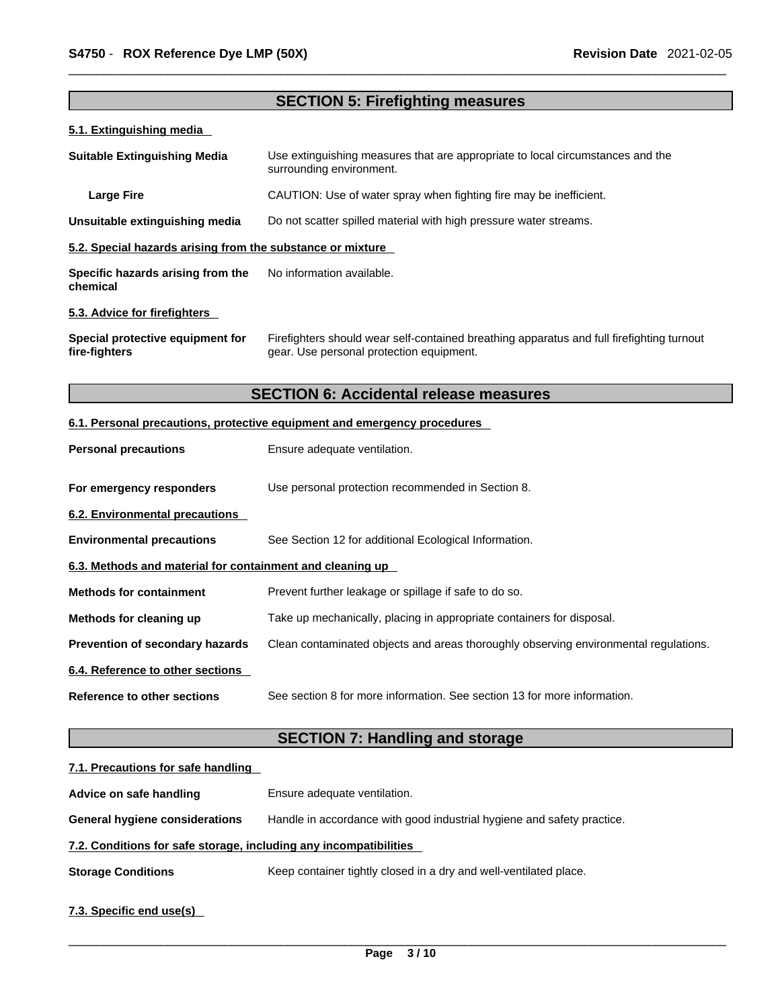# **SECTION 5: Firefighting measures 5.1. Extinguishing media Suitable Extinguishing Media** Use extinguishing measures that are appropriate to local circumstances and the surrounding environment. **Large Fire Example 20** CAUTION: Use of water spray when fighting fire may be inefficient. **Unsuitable extinguishing media** Do not scatter spilled material with high pressure water streams. **5.2. Special hazards arising from the substance or mixture Specific hazards arising from the chemical** No information available. **5.3. Advice for firefighters Special protective equipment for fire-fighters** Firefighters should wear self-contained breathing apparatus and full firefighting turnout gear. Use personal protection equipment. **SECTION 6: Accidental release measures 6.1. Personal precautions, protective equipment and emergency procedures Personal precautions** Ensure adequate ventilation. **For emergency responders** Use personal protection recommended in Section 8. **6.2. Environmental precautions Environmental precautions** See Section 12 for additional Ecological Information. **6.3. Methods and material for containment and cleaning up Methods for containment** Prevent further leakage or spillage if safe to do so. **Methods for cleaning up** Take up mechanically, placing in appropriate containers for disposal. **Prevention of secondary hazards** Clean contaminated objects and areas thoroughly observing environmental regulations. **6.4. Reference to other sections Reference to other sections** See section 8 for more information. See section 13 for more information. **SECTION 7: Handling and storage**

## **7.1. Precautions for safe handling**

| Advice on safe handling                                           | Ensure adequate ventilation.                                           |
|-------------------------------------------------------------------|------------------------------------------------------------------------|
| <b>General hygiene considerations</b>                             | Handle in accordance with good industrial hygiene and safety practice. |
| 7.2. Conditions for safe storage, including any incompatibilities |                                                                        |
| <b>Storage Conditions</b>                                         | Keep container tightly closed in a dry and well-ventilated place.      |
| $70.04 - 10 = 100$                                                |                                                                        |

## **7.3. Specific end use(s)**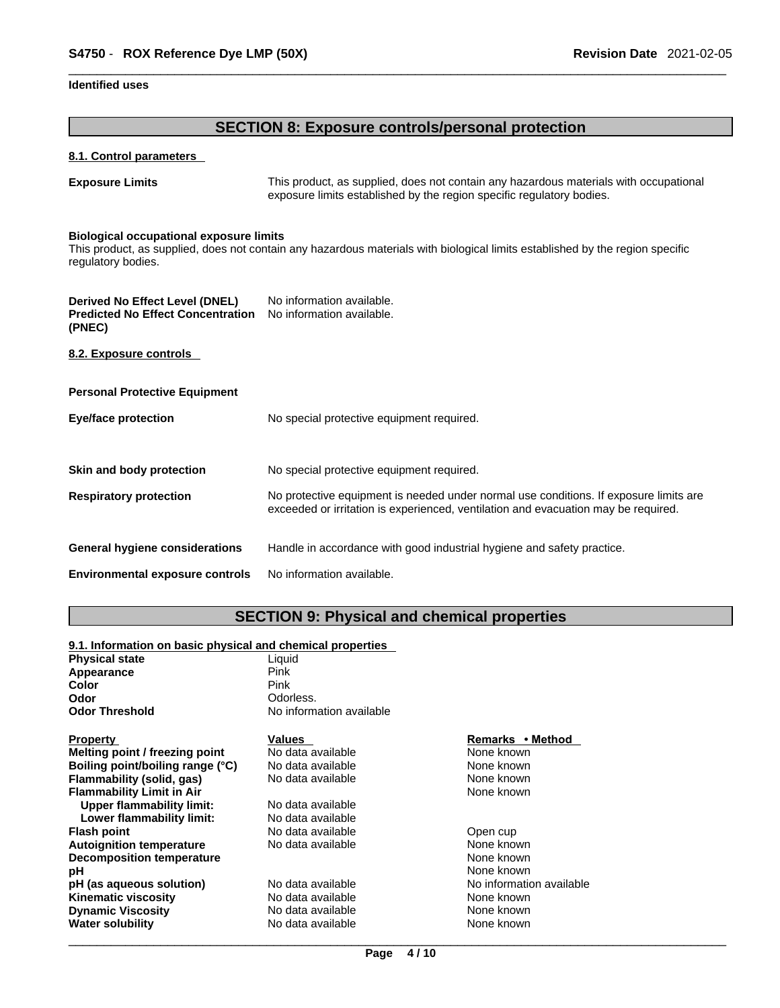## **Identified uses**

## **SECTION 8: Exposure controls/personal protection**

## **8.1. Control parameters**

**Exposure Limits** This product, as supplied, does not contain any hazardous materials with occupational exposure limits established by the region specific regulatory bodies.

#### **Biological occupational exposure limits**

This product, as supplied, does not contain any hazardous materials with biological limits established by the region specific regulatory bodies.

| Derived No Effect Level (DNEL)<br><b>Predicted No Effect Concentration</b><br>(PNEC) | No information available.<br>No information available.                                                                                                                      |
|--------------------------------------------------------------------------------------|-----------------------------------------------------------------------------------------------------------------------------------------------------------------------------|
| 8.2. Exposure controls                                                               |                                                                                                                                                                             |
| <b>Personal Protective Equipment</b>                                                 |                                                                                                                                                                             |
| Eye/face protection                                                                  | No special protective equipment required.                                                                                                                                   |
| Skin and body protection                                                             | No special protective equipment required.                                                                                                                                   |
| <b>Respiratory protection</b>                                                        | No protective equipment is needed under normal use conditions. If exposure limits are<br>exceeded or irritation is experienced, ventilation and evacuation may be required. |
| <b>General hygiene considerations</b>                                                | Handle in accordance with good industrial hygiene and safety practice.                                                                                                      |
| <b>Environmental exposure controls</b>                                               | No information available.                                                                                                                                                   |

## **SECTION 9: Physical and chemical properties**

#### **9.1. Information on basic physical and chemical properties**

| <b>Physical state</b>            | Liquid                   |                          |  |
|----------------------------------|--------------------------|--------------------------|--|
| Appearance                       | Pink                     |                          |  |
| Color                            | Pink                     |                          |  |
| Odor                             | Odorless.                |                          |  |
| <b>Odor Threshold</b>            | No information available |                          |  |
| <b>Property</b>                  | Values                   | Remarks • Method         |  |
| Melting point / freezing point   | No data available        | None known               |  |
| Boiling point/boiling range (°C) | No data available        | None known               |  |
| Flammability (solid, gas)        | No data available        | None known               |  |
| <b>Flammability Limit in Air</b> |                          | None known               |  |
| Upper flammability limit:        | No data available        |                          |  |
| Lower flammability limit:        | No data available        |                          |  |
| <b>Flash point</b>               | No data available        | Open cup                 |  |
| <b>Autoignition temperature</b>  | No data available        | None known               |  |
| <b>Decomposition temperature</b> |                          | None known               |  |
| рH                               |                          | None known               |  |
| pH (as aqueous solution)         | No data available        | No information available |  |
| <b>Kinematic viscosity</b>       | No data available        | None known               |  |
| <b>Dynamic Viscosity</b>         | No data available        | None known               |  |
| <b>Water solubility</b>          | No data available        | None known               |  |
|                                  |                          |                          |  |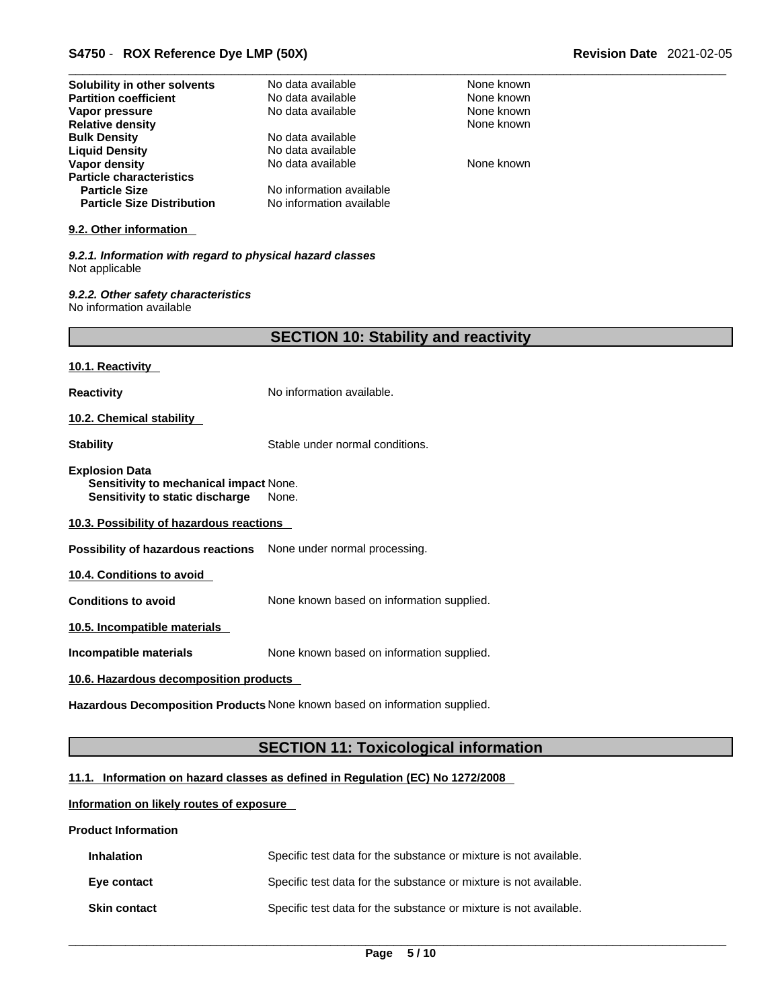## \_\_\_\_\_\_\_\_\_\_\_\_\_\_\_\_\_\_\_\_\_\_\_\_\_\_\_\_\_\_\_\_\_\_\_\_\_\_\_\_\_\_\_\_\_\_\_\_\_\_\_\_\_\_\_\_\_\_\_\_\_\_\_\_\_\_\_\_\_\_\_\_\_\_\_\_\_\_\_\_\_\_\_\_\_\_\_\_\_\_\_\_\_ **S4750** - **ROX Reference Dye LMP (50X) Revision Date** 2021-02-05

| Solubility in other solvents                                                                       | No data available                            | None known |
|----------------------------------------------------------------------------------------------------|----------------------------------------------|------------|
| <b>Partition coefficient</b>                                                                       | No data available                            | None known |
| Vapor pressure                                                                                     | No data available                            | None known |
| <b>Relative density</b>                                                                            |                                              | None known |
| <b>Bulk Density</b>                                                                                | No data available                            |            |
| <b>Liquid Density</b>                                                                              | No data available                            |            |
| Vapor density                                                                                      | No data available                            | None known |
| <b>Particle characteristics</b>                                                                    |                                              |            |
| <b>Particle Size</b>                                                                               | No information available                     |            |
| <b>Particle Size Distribution</b>                                                                  | No information available                     |            |
| 9.2. Other information                                                                             |                                              |            |
| 9.2.1. Information with regard to physical hazard classes                                          |                                              |            |
| Not applicable                                                                                     |                                              |            |
| 9.2.2. Other safety characteristics<br>No information available                                    |                                              |            |
|                                                                                                    | <b>SECTION 10: Stability and reactivity</b>  |            |
| 10.1. Reactivity                                                                                   |                                              |            |
| <b>Reactivity</b>                                                                                  | No information available.                    |            |
| 10.2. Chemical stability                                                                           |                                              |            |
| <b>Stability</b>                                                                                   | Stable under normal conditions.              |            |
| <b>Explosion Data</b><br>Sensitivity to mechanical impact None.<br>Sensitivity to static discharge | None.                                        |            |
| 10.3. Possibility of hazardous reactions                                                           |                                              |            |
| Possibility of hazardous reactions None under normal processing.                                   |                                              |            |
| 10.4. Conditions to avoid                                                                          |                                              |            |
| <b>Conditions to avoid</b>                                                                         | None known based on information supplied.    |            |
| 10.5. Incompatible materials                                                                       |                                              |            |
| Incompatible materials                                                                             | None known based on information supplied.    |            |
| 10.6. Hazardous decomposition products                                                             |                                              |            |
| Hazardous Decomposition Products None known based on information supplied.                         |                                              |            |
|                                                                                                    |                                              |            |
|                                                                                                    | <b>SECTION 11: Toxicological information</b> |            |

## **11.1. Information on hazard classes as defined in Regulation (EC) No 1272/2008**

## **Information on likely routes of exposure**

#### **Product Information**

| <b>Inhalation</b>   | Specific test data for the substance or mixture is not available. |
|---------------------|-------------------------------------------------------------------|
| Eye contact         | Specific test data for the substance or mixture is not available. |
| <b>Skin contact</b> | Specific test data for the substance or mixture is not available. |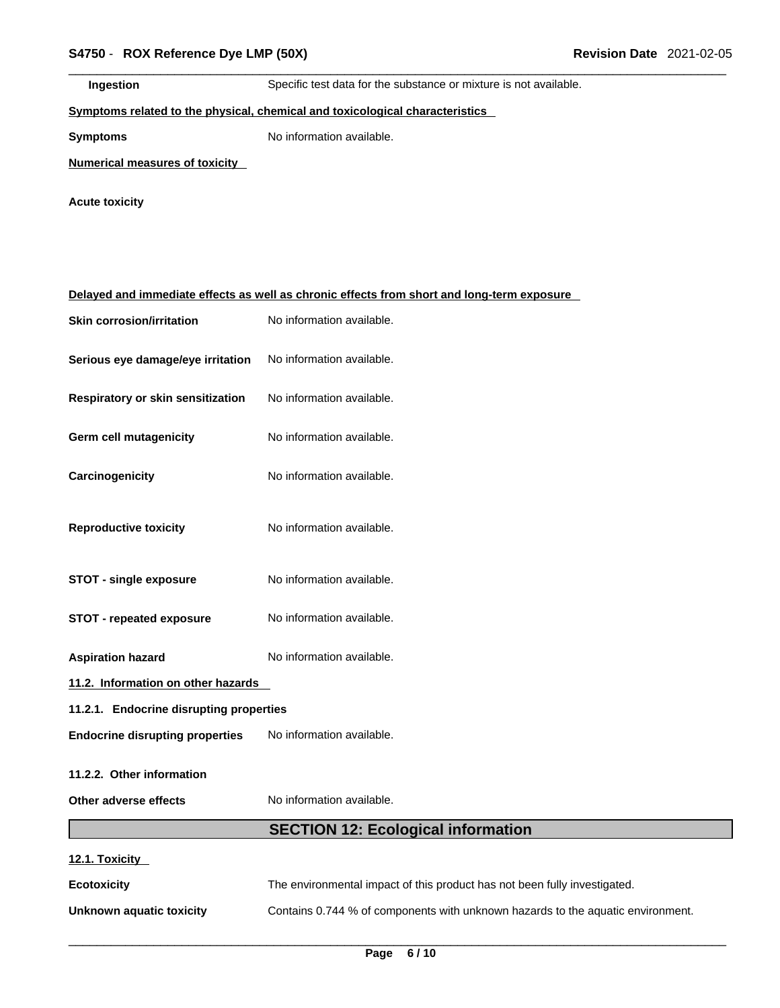| Ingestion | Specific test data for the substance or mixture is not available. |
|-----------|-------------------------------------------------------------------|
|           |                                                                   |

## **<u>Symptoms related to the physical, chemical and toxicological characteristics</u>**

**Symptoms** No information available.

**Numerical measures of toxicity**

**Acute toxicity** 

## **Delayed and immediate effects as well as chronic effects from short and long-term exposure**

| <b>Skin corrosion/irritation</b>        | No information available.                                                 |  |
|-----------------------------------------|---------------------------------------------------------------------------|--|
| Serious eye damage/eye irritation       | No information available.                                                 |  |
| Respiratory or skin sensitization       | No information available.                                                 |  |
| <b>Germ cell mutagenicity</b>           | No information available.                                                 |  |
| Carcinogenicity                         | No information available.                                                 |  |
| <b>Reproductive toxicity</b>            | No information available.                                                 |  |
| <b>STOT - single exposure</b>           | No information available.                                                 |  |
| <b>STOT - repeated exposure</b>         | No information available.                                                 |  |
| <b>Aspiration hazard</b>                | No information available.                                                 |  |
| 11.2. Information on other hazards      |                                                                           |  |
| 11.2.1. Endocrine disrupting properties |                                                                           |  |
| <b>Endocrine disrupting properties</b>  | No information available.                                                 |  |
| 11.2.2. Other information               |                                                                           |  |
| Other adverse effects                   | No information available.                                                 |  |
|                                         | <b>SECTION 12: Ecological information</b>                                 |  |
| 12.1. Toxicity                          |                                                                           |  |
| <b>Ecotoxicity</b>                      | The environmental impact of this product has not been fully investigated. |  |

**Unknown aquatic toxicity** Contains 0.744 % of components with unknown hazards to the aquatic environment.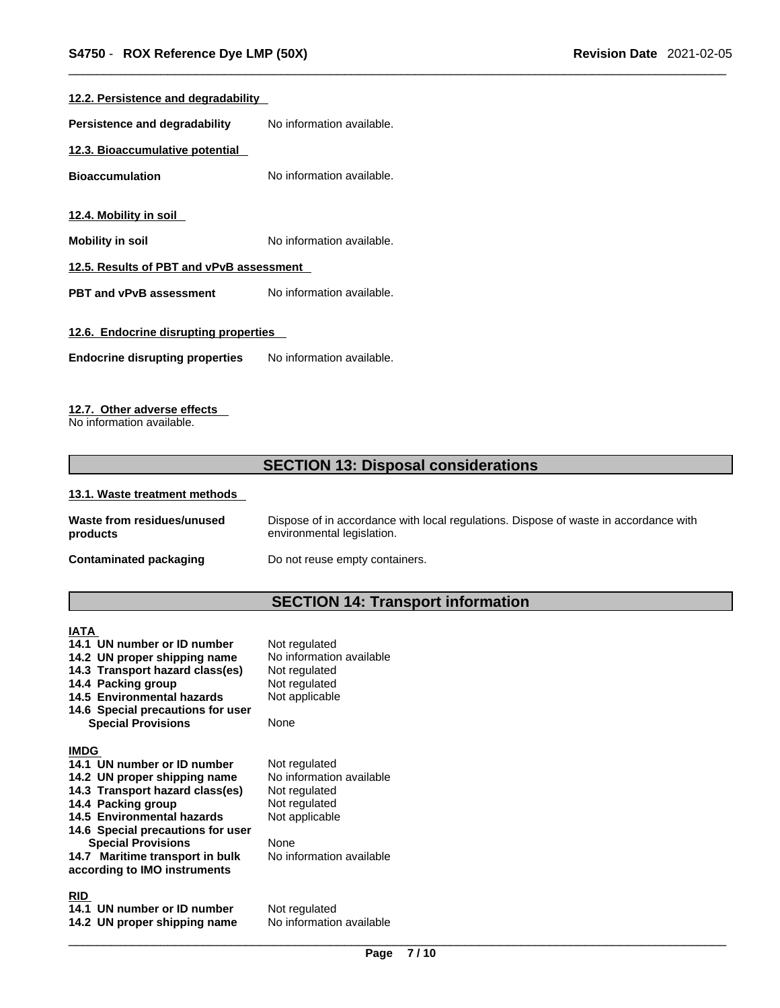| No information available.<br>Persistence and degradability<br>12.3. Bioaccumulative potential<br>No information available.<br><b>Bioaccumulation</b><br><u>12.4. Mobility in soil</u><br>No information available.<br><b>Mobility in soil</b><br>12.5. Results of PBT and vPvB assessment<br>No information available.<br><b>PBT and vPvB assessment</b><br>12.6. Endocrine disrupting properties<br>No information available.<br><b>Endocrine disrupting properties</b> | 12.2. Persistence and degradability |  |  |
|--------------------------------------------------------------------------------------------------------------------------------------------------------------------------------------------------------------------------------------------------------------------------------------------------------------------------------------------------------------------------------------------------------------------------------------------------------------------------|-------------------------------------|--|--|
|                                                                                                                                                                                                                                                                                                                                                                                                                                                                          |                                     |  |  |
|                                                                                                                                                                                                                                                                                                                                                                                                                                                                          |                                     |  |  |
|                                                                                                                                                                                                                                                                                                                                                                                                                                                                          |                                     |  |  |
|                                                                                                                                                                                                                                                                                                                                                                                                                                                                          |                                     |  |  |
|                                                                                                                                                                                                                                                                                                                                                                                                                                                                          |                                     |  |  |
|                                                                                                                                                                                                                                                                                                                                                                                                                                                                          |                                     |  |  |
|                                                                                                                                                                                                                                                                                                                                                                                                                                                                          |                                     |  |  |
|                                                                                                                                                                                                                                                                                                                                                                                                                                                                          |                                     |  |  |
|                                                                                                                                                                                                                                                                                                                                                                                                                                                                          |                                     |  |  |

## **12.7. Other adverse effects**

No information available.

## **SECTION 13: Disposal considerations**

#### **13.1. Waste treatment methods**

| Waste from residues/unused    | Dispose of in accordance with local regulations. Dispose of waste in accordance with |
|-------------------------------|--------------------------------------------------------------------------------------|
| products                      | environmental legislation.                                                           |
| <b>Contaminated packaging</b> | Do not reuse empty containers.                                                       |

## **SECTION 14: Transport information**

**IATA 14.1 UN number or ID number** Not regulated<br>**14.2 UN proper shipping name** No information available **14.2 UN proper shipping name** No information<br>**14.3 Transport hazard class(es)** Not regulated **14.3 Transport hazard class(es)** Not regulated **14.4 Packing group** Not regulated **14.4 Packing group** 14.5 Environmental hazards Not applicable **14.6 Special precautions for user Special Provisions** None **IMDG 14.1 UN number or ID number** Not regulated<br>**14.2 UN proper shipping name** No information available **14.2 UN proper shipping name** No information<br>**14.3 Transport hazard class(es)** Not regulated **14.3 Transport hazard class(es) 14.4 Packing group Mot regulated** 14.5 Environmental hazards Not applicable **14.6 Special precautions for user Special Provisions** None **14.7 Maritime transport in bulk according to IMO instruments**

## **RID**

**14.1 UN number or ID number** Not regulated<br>**14.2 UN proper shipping name** No information available **14.2 UN proper shipping name** 

No information available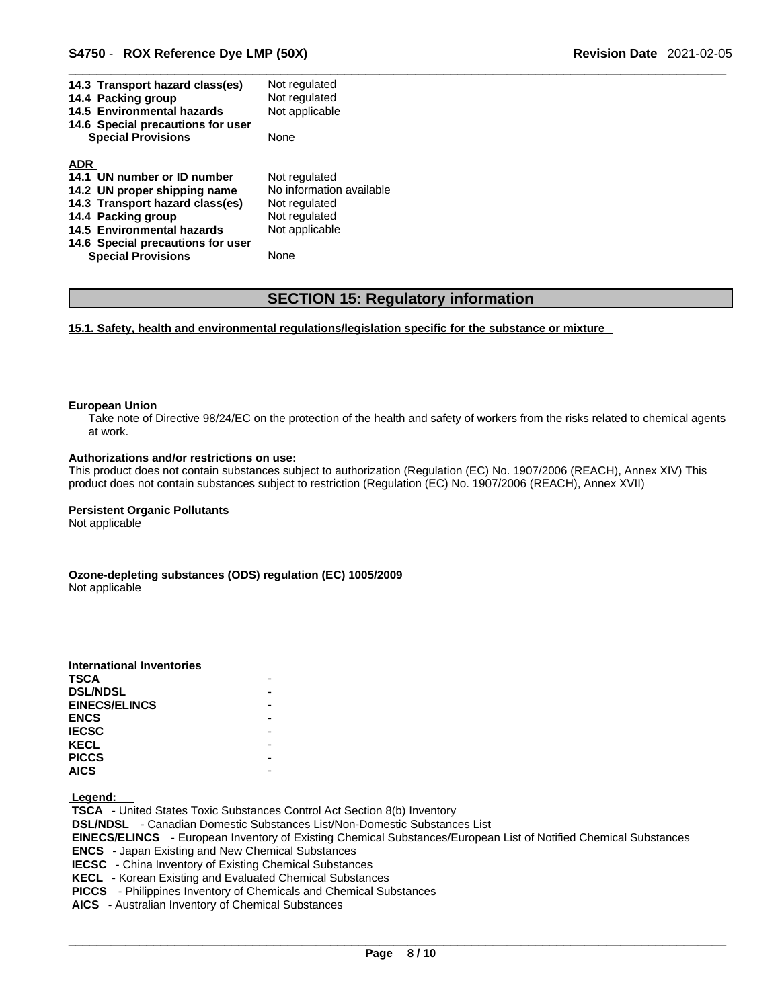| Not regulated            |
|--------------------------|
| Not regulated            |
| Not applicable           |
|                          |
| <b>None</b>              |
|                          |
|                          |
| Not regulated            |
| No information available |
| Not regulated            |
| Not regulated            |
|                          |
| Not applicable           |
|                          |
|                          |

## **SECTION 15: Regulatory information**

**15.1. Safety, health and environmental regulations/legislation specific for the substance or mixture**

#### **European Union**

Take note of Directive 98/24/EC on the protection of the health and safety of workers from the risks related to chemical agents at work.

#### **Authorizations and/or restrictions on use:**

This product does not contain substances subject to authorization (Regulation (EC) No. 1907/2006 (REACH), Annex XIV) This product does not contain substances subject to restriction (Regulation (EC) No. 1907/2006 (REACH), Annex XVII)

#### **Persistent Organic Pollutants**

Not applicable

**Ozone-depleting substances (ODS) regulation (EC) 1005/2009** Not applicable

| International Inventories |  |
|---------------------------|--|
| <b>TSCA</b>               |  |
| <b>DSL/NDSL</b>           |  |
| <b>EINECS/ELINCS</b>      |  |
| <b>ENCS</b>               |  |
| <b>IECSC</b>              |  |
| <b>KECL</b>               |  |
| <b>PICCS</b>              |  |
| <b>AICS</b>               |  |

 **Legend:** 

 **TSCA** - United States Toxic Substances Control Act Section 8(b) Inventory  **DSL/NDSL** - Canadian Domestic Substances List/Non-Domestic Substances List  **EINECS/ELINCS** - European Inventory of Existing Chemical Substances/European List of Notified Chemical Substances  **ENCS** - Japan Existing and New Chemical Substances  **IECSC** - China Inventory of Existing Chemical Substances  **KECL** - Korean Existing and Evaluated Chemical Substances  **PICCS** - Philippines Inventory of Chemicals and Chemical Substances  **AICS** - Australian Inventory of Chemical Substances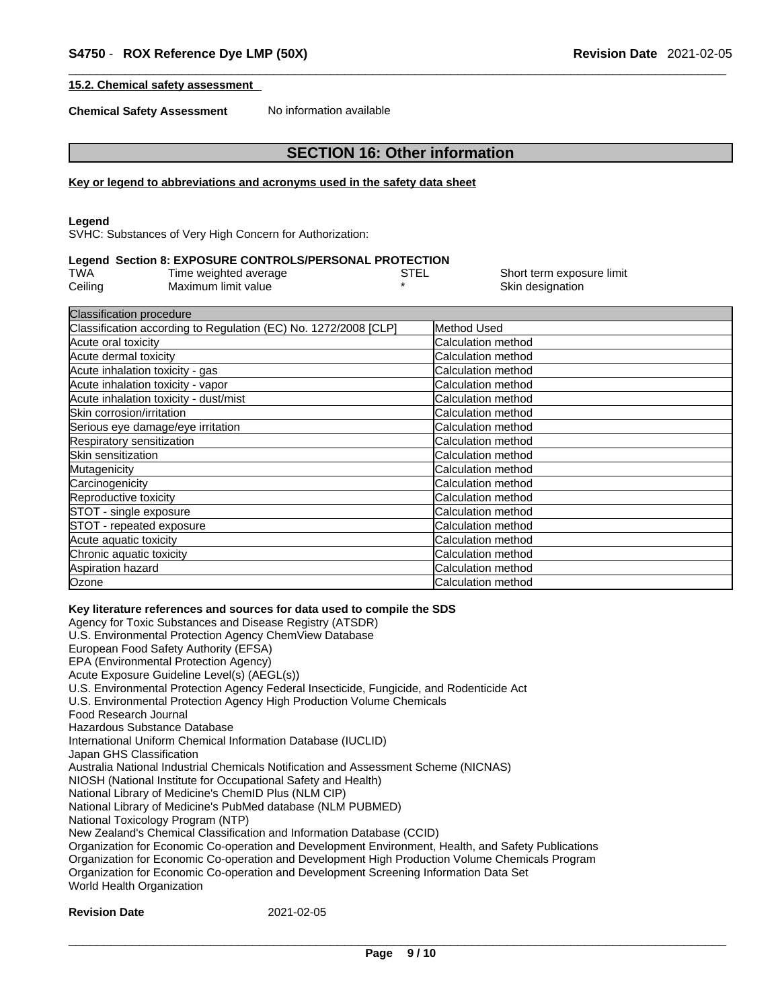Short term exposure limit

## **15.2. Chemical safety assessment**

**Chemical Safety Assessment** No information available

## **SECTION 16: Other information**

#### **Key or legend to abbreviations and acronyms used in the safety data sheet**

#### **Legend**

SVHC: Substances of Very High Concern for Authorization:

#### **Legend Section 8: EXPOSURE CONTROLS/PERSONAL PROTECTION**

| TWA     | Time weighted average | STEL | Short term expos |
|---------|-----------------------|------|------------------|
| Ceiling | Maximum limit value   |      | Skin designation |

| <b>Classification procedure</b>                                 |                           |  |  |
|-----------------------------------------------------------------|---------------------------|--|--|
| Classification according to Regulation (EC) No. 1272/2008 [CLP] | Method Used               |  |  |
| Acute oral toxicity                                             | Calculation method        |  |  |
| Acute dermal toxicity                                           | Calculation method        |  |  |
| Acute inhalation toxicity - gas                                 | Calculation method        |  |  |
| Acute inhalation toxicity - vapor                               | Calculation method        |  |  |
| Acute inhalation toxicity - dust/mist                           | Calculation method        |  |  |
| Skin corrosion/irritation                                       | Calculation method        |  |  |
| Serious eye damage/eye irritation                               | <b>Calculation method</b> |  |  |
| Respiratory sensitization                                       | Calculation method        |  |  |
| Skin sensitization                                              | Calculation method        |  |  |
| Mutagenicity                                                    | Calculation method        |  |  |
| Carcinogenicity                                                 | Calculation method        |  |  |
| Reproductive toxicity                                           | Calculation method        |  |  |
| STOT - single exposure                                          | Calculation method        |  |  |
| STOT - repeated exposure                                        | Calculation method        |  |  |
| Acute aquatic toxicity                                          | Calculation method        |  |  |
| Chronic aquatic toxicity                                        | Calculation method        |  |  |
| Aspiration hazard                                               | Calculation method        |  |  |
| Ozone                                                           | Calculation method        |  |  |

## **Key literature references and sources for data used to compile the SDS**

Agency for Toxic Substances and Disease Registry (ATSDR) U.S. Environmental Protection Agency ChemView Database European Food Safety Authority (EFSA) EPA (Environmental Protection Agency) Acute Exposure Guideline Level(s) (AEGL(s)) U.S. Environmental Protection Agency Federal Insecticide, Fungicide, and Rodenticide Act U.S. Environmental Protection Agency High Production Volume Chemicals Food Research Journal Hazardous Substance Database International Uniform Chemical Information Database (IUCLID) Japan GHS Classification Australia National Industrial Chemicals Notification and Assessment Scheme (NICNAS) NIOSH (National Institute for Occupational Safety and Health) National Library of Medicine's ChemID Plus (NLM CIP) National Library of Medicine's PubMed database (NLM PUBMED) National Toxicology Program (NTP) New Zealand's Chemical Classification and Information Database (CCID) Organization for Economic Co-operation and Development Environment, Health, and Safety Publications Organization for Economic Co-operation and Development High Production Volume Chemicals Program Organization for Economic Co-operation and Development Screening Information Data Set World Health Organization

#### **Revision Date** 2021-02-05